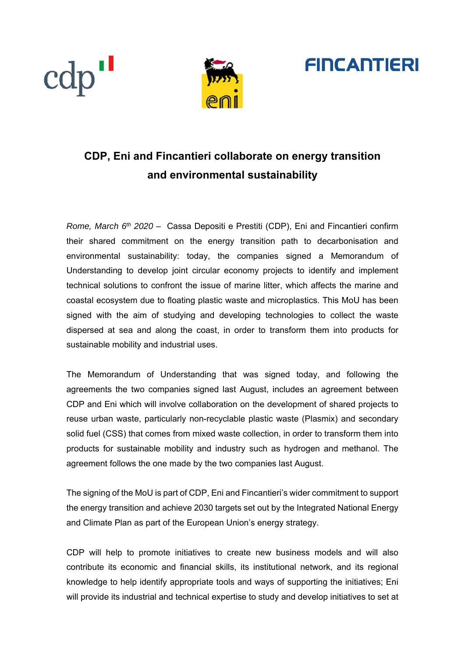





# **CDP, Eni and Fincantieri collaborate on energy transition and environmental sustainability**

*Rome, March 6th 2020 –* Cassa Depositi e Prestiti (CDP), Eni and Fincantieri confirm their shared commitment on the energy transition path to decarbonisation and environmental sustainability: today, the companies signed a Memorandum of Understanding to develop joint circular economy projects to identify and implement technical solutions to confront the issue of marine litter, which affects the marine and coastal ecosystem due to floating plastic waste and microplastics. This MoU has been signed with the aim of studying and developing technologies to collect the waste dispersed at sea and along the coast, in order to transform them into products for sustainable mobility and industrial uses.

The Memorandum of Understanding that was signed today, and following the agreements the two companies signed last August, includes an agreement between CDP and Eni which will involve collaboration on the development of shared projects to reuse urban waste, particularly non-recyclable plastic waste (Plasmix) and secondary solid fuel (CSS) that comes from mixed waste collection, in order to transform them into products for sustainable mobility and industry such as hydrogen and methanol. The agreement follows the one made by the two companies last August.

The signing of the MoU is part of CDP, Eni and Fincantieri's wider commitment to support the energy transition and achieve 2030 targets set out by the Integrated National Energy and Climate Plan as part of the European Union's energy strategy.

CDP will help to promote initiatives to create new business models and will also contribute its economic and financial skills, its institutional network, and its regional knowledge to help identify appropriate tools and ways of supporting the initiatives; Eni will provide its industrial and technical expertise to study and develop initiatives to set at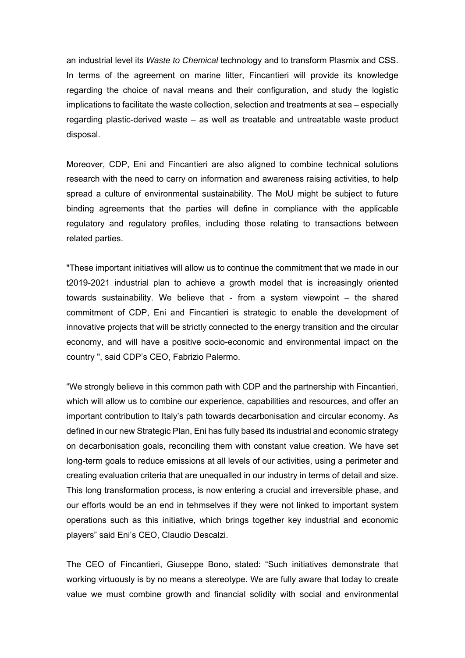an industrial level its *Waste to Chemical* technology and to transform Plasmix and CSS. In terms of the agreement on marine litter, Fincantieri will provide its knowledge regarding the choice of naval means and their configuration, and study the logistic implications to facilitate the waste collection, selection and treatments at sea – especially regarding plastic-derived waste – as well as treatable and untreatable waste product disposal.

Moreover, CDP, Eni and Fincantieri are also aligned to combine technical solutions research with the need to carry on information and awareness raising activities, to help spread a culture of environmental sustainability. The MoU might be subject to future binding agreements that the parties will define in compliance with the applicable regulatory and regulatory profiles, including those relating to transactions between related parties.

"These important initiatives will allow us to continue the commitment that we made in our t2019-2021 industrial plan to achieve a growth model that is increasingly oriented towards sustainability. We believe that - from a system viewpoint – the shared commitment of CDP, Eni and Fincantieri is strategic to enable the development of innovative projects that will be strictly connected to the energy transition and the circular economy, and will have a positive socio-economic and environmental impact on the country ", said CDP's CEO, Fabrizio Palermo.

"We strongly believe in this common path with CDP and the partnership with Fincantieri, which will allow us to combine our experience, capabilities and resources, and offer an important contribution to Italy's path towards decarbonisation and circular economy. As defined in our new Strategic Plan, Eni has fully based its industrial and economic strategy on decarbonisation goals, reconciling them with constant value creation. We have set long-term goals to reduce emissions at all levels of our activities, using a perimeter and creating evaluation criteria that are unequalled in our industry in terms of detail and size. This long transformation process, is now entering a crucial and irreversible phase, and our efforts would be an end in tehmselves if they were not linked to important system operations such as this initiative, which brings together key industrial and economic players" said Eni's CEO, Claudio Descalzi.

The CEO of Fincantieri, Giuseppe Bono, stated: "Such initiatives demonstrate that working virtuously is by no means a stereotype. We are fully aware that today to create value we must combine growth and financial solidity with social and environmental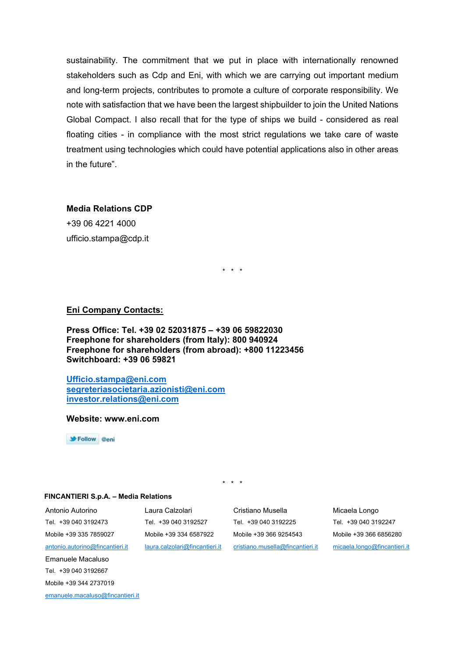sustainability. The commitment that we put in place with internationally renowned stakeholders such as Cdp and Eni, with which we are carrying out important medium and long-term projects, contributes to promote a culture of corporate responsibility. We note with satisfaction that we have been the largest shipbuilder to join the United Nations Global Compact. I also recall that for the type of ships we build - considered as real floating cities - in compliance with the most strict regulations we take care of waste treatment using technologies which could have potential applications also in other areas in the future".

#### **Media Relations CDP**

+39 06 4221 4000 ufficio.stampa@cdp.it

\* \* \*

## **Eni Company Contacts:**

**Press Office: Tel. +39 02 52031875 – +39 06 59822030 Freephone for shareholders (from Italy): 800 940924 Freephone for shareholders (from abroad): +800 11223456 Switchboard: +39 06 59821** 

**Ufficio.stampa@eni.com segreteriasocietaria.azionisti@eni.com investor.relations@eni.com** 

**Website: www.eni.com** 

Follow @eni

\* \* \*

#### **FINCANTIERI S.p.A. – Media Relations**

Antonio Autorino Laura Calzolari Cristiano Musella Micaela Longo

Tel. +39 040 3192473 Tel. +39 040 3192527 Tel. +39 040 3192225 Tel. +39 040 3192247 Mobile +39 335 7859027 Mobile +39 334 6587922 Mobile +39 366 9254543 Mobile +39 366 6856280 antonio.autorino@fincantieri.it laura.calzolari@fincantieri.it cristiano.musella@fincantieri.it micaela.longo@fincantieri.it

Mobile +39 344 2737019

Emanuele Macaluso Tel. +39 040 3192667

emanuele.macaluso@fincantieri.it